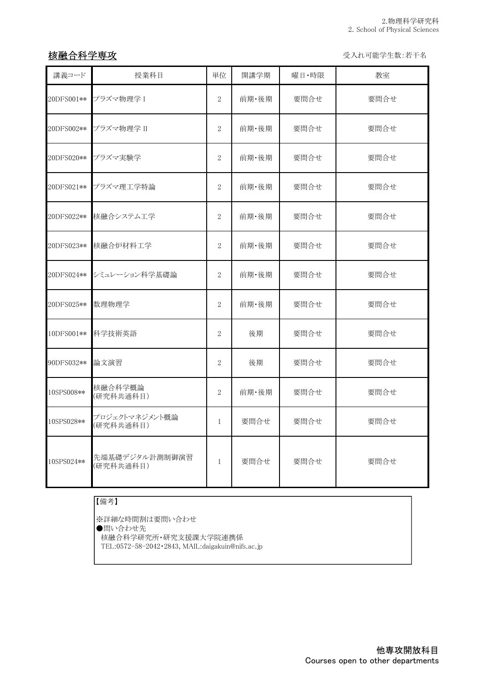## 核融合科学専攻 マイン インディー しょうしゃ しゅうしゃ かいしゃ かいしゅう 受入れ可能学生数:若干名

| 講義コード      | 授業科目                        | 単位             | 開講学期  | 曜日·時限 | 教室   |
|------------|-----------------------------|----------------|-------|-------|------|
| 20DFS001** | プラズマ物理学 I                   | $\overline{2}$ | 前期・後期 | 要問合せ  | 要問合せ |
| 20DFS002** | プラズマ物理学 II                  | $\overline{2}$ | 前期・後期 | 要問合せ  | 要問合せ |
| 20DFS020** | プラズマ実験学                     | $\overline{2}$ | 前期・後期 | 要問合せ  | 要問合せ |
| 20DFS021** | プラズマ理工学特論                   | $\overline{2}$ | 前期・後期 | 要問合せ  | 要問合せ |
| 20DFS022** | 核融合システム工学                   | $\overline{2}$ | 前期·後期 | 要問合せ  | 要問合せ |
| 20DFS023** | 核融合炉材料工学                    | $\sqrt{2}$     | 前期·後期 | 要問合せ  | 要問合せ |
| 20DFS024** | シミュレーション科学基礎論               | $\overline{2}$ | 前期·後期 | 要問合せ  | 要問合せ |
| 20DFS025** | 数理物理学                       | $\sqrt{2}$     | 前期·後期 | 要問合せ  | 要問合せ |
| 10DFS001** | 科学技術英語                      | $\overline{2}$ | 後期    | 要問合せ  | 要問合せ |
| 90DFS032** | 論文演習                        | $\overline{2}$ | 後期    | 要問合せ  | 要問合せ |
| 10SPS008** | 核融合科学概論<br>(研究科共通科目)        | $\overline{2}$ | 前期・後期 | 要問合せ  | 要問合せ |
| 10SPS028** | プロジェクトマネジメント概論<br>(研究科共通科目) | $\mathbf{1}$   | 要問合せ  | 要問合せ  | 要問合せ |
| 10SPS024** | 先端基礎デジタル計測制御演習<br>(研究科共通科目) | $\mathbf{1}$   | 要問合せ  | 要問合せ  | 要問合せ |

## 【備考】

※詳細な時間割は要問い合わせ ●問い合わせ先 核融合科学研究所・研究支援課大学院連携係 TEL:0572-58-2042・2843, MAIL:daigakuin@nifs.ac.jp